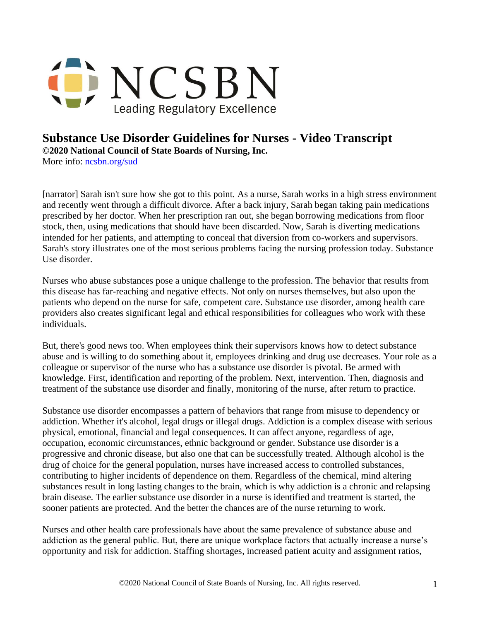

## **Substance Use Disorder Guidelines for Nurses - Video Transcript ©2020 National Council of State Boards of Nursing, Inc.**

More info: [ncsbn.org/sud](http://www.ncsbn.org/sud)

[narrator] Sarah isn't sure how she got to this point. As a nurse, Sarah works in a high stress environment and recently went through a difficult divorce. After a back injury, Sarah began taking pain medications prescribed by her doctor. When her prescription ran out, she began borrowing medications from floor stock, then, using medications that should have been discarded. Now, Sarah is diverting medications intended for her patients, and attempting to conceal that diversion from co-workers and supervisors. Sarah's story illustrates one of the most serious problems facing the nursing profession today. Substance Use disorder.

Nurses who abuse substances pose a unique challenge to the profession. The behavior that results from this disease has far-reaching and negative effects. Not only on nurses themselves, but also upon the patients who depend on the nurse for safe, competent care. Substance use disorder, among health care providers also creates significant legal and ethical responsibilities for colleagues who work with these individuals.

But, there's good news too. When employees think their supervisors knows how to detect substance abuse and is willing to do something about it, employees drinking and drug use decreases. Your role as a colleague or supervisor of the nurse who has a substance use disorder is pivotal. Be armed with knowledge. First, identification and reporting of the problem. Next, intervention. Then, diagnosis and treatment of the substance use disorder and finally, monitoring of the nurse, after return to practice.

Substance use disorder encompasses a pattern of behaviors that range from misuse to dependency or addiction. Whether it's alcohol, legal drugs or illegal drugs. Addiction is a complex disease with serious physical, emotional, financial and legal consequences. It can affect anyone, regardless of age, occupation, economic circumstances, ethnic background or gender. Substance use disorder is a progressive and chronic disease, but also one that can be successfully treated. Although alcohol is the drug of choice for the general population, nurses have increased access to controlled substances, contributing to higher incidents of dependence on them. Regardless of the chemical, mind altering substances result in long lasting changes to the brain, which is why addiction is a chronic and relapsing brain disease. The earlier substance use disorder in a nurse is identified and treatment is started, the sooner patients are protected. And the better the chances are of the nurse returning to work.

Nurses and other health care professionals have about the same prevalence of substance abuse and addiction as the general public. But, there are unique workplace factors that actually increase a nurse's opportunity and risk for addiction. Staffing shortages, increased patient acuity and assignment ratios,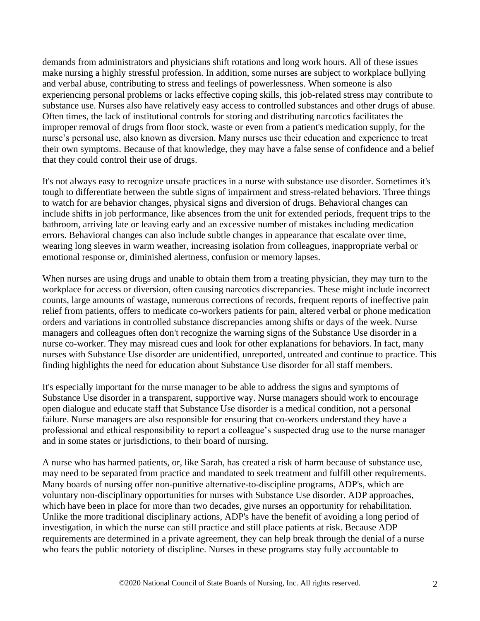demands from administrators and physicians shift rotations and long work hours. All of these issues make nursing a highly stressful profession. In addition, some nurses are subject to workplace bullying and verbal abuse, contributing to stress and feelings of powerlessness. When someone is also experiencing personal problems or lacks effective coping skills, this job-related stress may contribute to substance use. Nurses also have relatively easy access to controlled substances and other drugs of abuse. Often times, the lack of institutional controls for storing and distributing narcotics facilitates the improper removal of drugs from floor stock, waste or even from a patient's medication supply, for the nurse's personal use, also known as diversion. Many nurses use their education and experience to treat their own symptoms. Because of that knowledge, they may have a false sense of confidence and a belief that they could control their use of drugs.

It's not always easy to recognize unsafe practices in a nurse with substance use disorder. Sometimes it's tough to differentiate between the subtle signs of impairment and stress-related behaviors. Three things to watch for are behavior changes, physical signs and diversion of drugs. Behavioral changes can include shifts in job performance, like absences from the unit for extended periods, frequent trips to the bathroom, arriving late or leaving early and an excessive number of mistakes including medication errors. Behavioral changes can also include subtle changes in appearance that escalate over time, wearing long sleeves in warm weather, increasing isolation from colleagues, inappropriate verbal or emotional response or, diminished alertness, confusion or memory lapses.

When nurses are using drugs and unable to obtain them from a treating physician, they may turn to the workplace for access or diversion, often causing narcotics discrepancies. These might include incorrect counts, large amounts of wastage, numerous corrections of records, frequent reports of ineffective pain relief from patients, offers to medicate co-workers patients for pain, altered verbal or phone medication orders and variations in controlled substance discrepancies among shifts or days of the week. Nurse managers and colleagues often don't recognize the warning signs of the Substance Use disorder in a nurse co-worker. They may misread cues and look for other explanations for behaviors. In fact, many nurses with Substance Use disorder are unidentified, unreported, untreated and continue to practice. This finding highlights the need for education about Substance Use disorder for all staff members.

It's especially important for the nurse manager to be able to address the signs and symptoms of Substance Use disorder in a transparent, supportive way. Nurse managers should work to encourage open dialogue and educate staff that Substance Use disorder is a medical condition, not a personal failure. Nurse managers are also responsible for ensuring that co-workers understand they have a professional and ethical responsibility to report a colleague's suspected drug use to the nurse manager and in some states or jurisdictions, to their board of nursing.

A nurse who has harmed patients, or, like Sarah, has created a risk of harm because of substance use, may need to be separated from practice and mandated to seek treatment and fulfill other requirements. Many boards of nursing offer non-punitive alternative-to-discipline programs, ADP's, which are voluntary non-disciplinary opportunities for nurses with Substance Use disorder. ADP approaches, which have been in place for more than two decades, give nurses an opportunity for rehabilitation. Unlike the more traditional disciplinary actions, ADP's have the benefit of avoiding a long period of investigation, in which the nurse can still practice and still place patients at risk. Because ADP requirements are determined in a private agreement, they can help break through the denial of a nurse who fears the public notoriety of discipline. Nurses in these programs stay fully accountable to